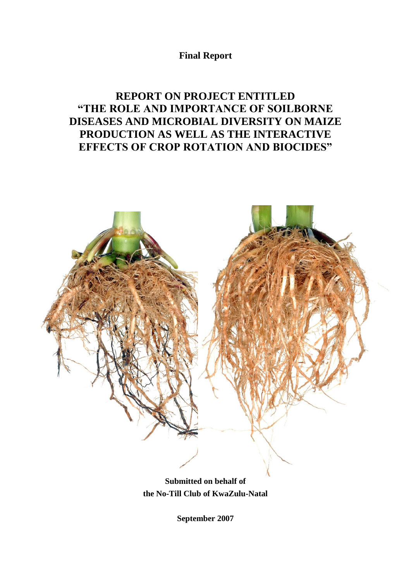**Final Report**

# **REPORT ON PROJECT ENTITLED "THE ROLE AND IMPORTANCE OF SOILBORNE DISEASES AND MICROBIAL DIVERSITY ON MAIZE PRODUCTION AS WELL AS THE INTERACTIVE EFFECTS OF CROP ROTATION AND BIOCIDES"**



**Submitted on behalf of the No-Till Club of KwaZulu-Natal** 

**September 2007**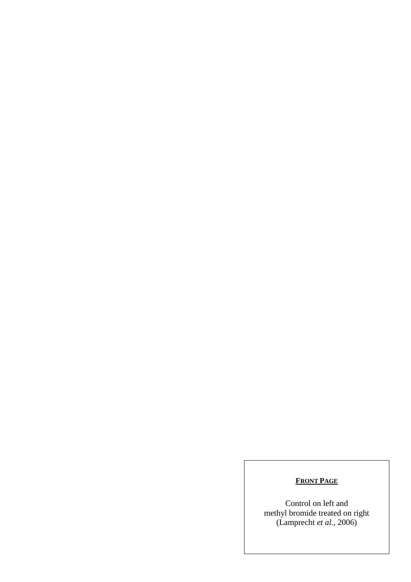# **FRONT PAGE**

Control on left and methyl bromide treated on right (Lamprecht *et al.,* 2006)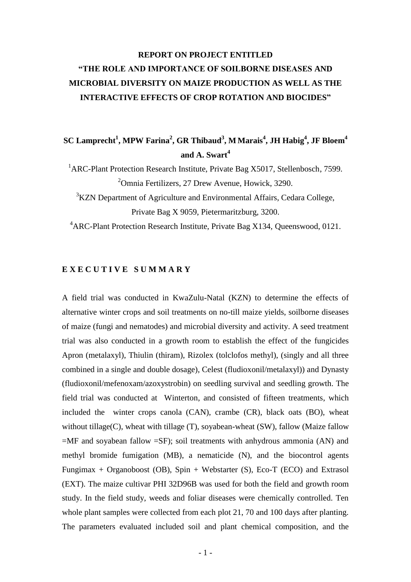# **REPORT ON PROJECT ENTITLED "THE ROLE AND IMPORTANCE OF SOILBORNE DISEASES AND MICROBIAL DIVERSITY ON MAIZE PRODUCTION AS WELL AS THE INTERACTIVE EFFECTS OF CROP ROTATION AND BIOCIDES"**

# **SC Lamprecht<sup>1</sup> , MPW Farina<sup>2</sup> , GR Thibaud<sup>3</sup> , M Marais<sup>4</sup> , JH Habig<sup>4</sup> , JF Bloem<sup>4</sup> and A. Swart<sup>4</sup>**

<sup>1</sup> ARC-Plant Protection Research Institute, Private Bag X5017, Stellenbosch, 7599.  $2^2$ Omnia Fertilizers, 27 Drew Avenue, Howick, 3290.

<sup>3</sup>KZN Department of Agriculture and Environmental Affairs, Cedara College, Private Bag X 9059, Pietermaritzburg, 3200.

<sup>4</sup> ARC-Plant Protection Research Institute, Private Bag X134, Queenswood, 0121.

## **E X E C U T I V E S U M M A R Y**

A field trial was conducted in KwaZulu-Natal (KZN) to determine the effects of alternative winter crops and soil treatments on no-till maize yields, soilborne diseases of maize (fungi and nematodes) and microbial diversity and activity. A seed treatment trial was also conducted in a growth room to establish the effect of the fungicides Apron (metalaxyl), Thiulin (thiram), Rizolex (tolclofos methyl), (singly and all three combined in a single and double dosage), Celest (fludioxonil/metalaxyl)) and Dynasty (fludioxonil/mefenoxam/azoxystrobin) on seedling survival and seedling growth. The field trial was conducted at Winterton, and consisted of fifteen treatments, which included the winter crops canola (CAN), crambe (CR), black oats (BO), wheat without tillage(C), wheat with tillage (T), soyabean-wheat (SW), fallow (Maize fallow  $=$ MF and soyabean fallow  $=$ SF); soil treatments with anhydrous ammonia (AN) and methyl bromide fumigation (MB), a nematicide (N), and the biocontrol agents Fungimax + Organoboost (OB), Spin + Webstarter (S), Eco-T (ECO) and Extrasol (EXT). The maize cultivar PHI 32D96B was used for both the field and growth room study. In the field study, weeds and foliar diseases were chemically controlled. Ten whole plant samples were collected from each plot 21, 70 and 100 days after planting. The parameters evaluated included soil and plant chemical composition, and the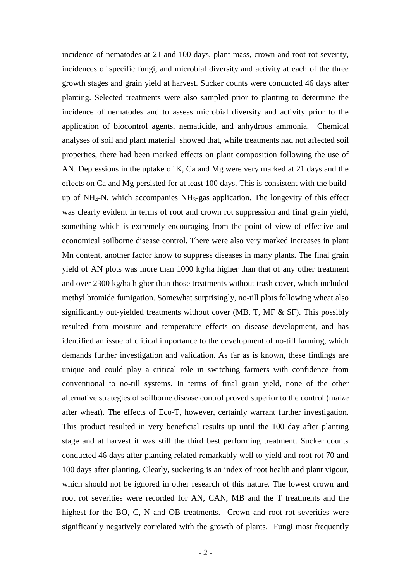incidence of nematodes at 21 and 100 days, plant mass, crown and root rot severity, incidences of specific fungi, and microbial diversity and activity at each of the three growth stages and grain yield at harvest. Sucker counts were conducted 46 days after planting. Selected treatments were also sampled prior to planting to determine the incidence of nematodes and to assess microbial diversity and activity prior to the application of biocontrol agents, nematicide, and anhydrous ammonia. Chemical analyses of soil and plant material showed that, while treatments had not affected soil properties, there had been marked effects on plant composition following the use of AN. Depressions in the uptake of K, Ca and Mg were very marked at 21 days and the effects on Ca and Mg persisted for at least 100 days. This is consistent with the buildup of  $NH_4$ -N, which accompanies  $NH_3$ -gas application. The longevity of this effect was clearly evident in terms of root and crown rot suppression and final grain yield, something which is extremely encouraging from the point of view of effective and economical soilborne disease control. There were also very marked increases in plant Mn content, another factor know to suppress diseases in many plants. The final grain yield of AN plots was more than 1000 kg/ha higher than that of any other treatment and over 2300 kg/ha higher than those treatments without trash cover, which included methyl bromide fumigation. Somewhat surprisingly, no-till plots following wheat also significantly out-yielded treatments without cover (MB, T, MF & SF). This possibly resulted from moisture and temperature effects on disease development, and has identified an issue of critical importance to the development of no-till farming, which demands further investigation and validation. As far as is known, these findings are unique and could play a critical role in switching farmers with confidence from conventional to no-till systems. In terms of final grain yield, none of the other alternative strategies of soilborne disease control proved superior to the control (maize after wheat). The effects of Eco-T, however, certainly warrant further investigation. This product resulted in very beneficial results up until the 100 day after planting stage and at harvest it was still the third best performing treatment. Sucker counts conducted 46 days after planting related remarkably well to yield and root rot 70 and 100 days after planting. Clearly, suckering is an index of root health and plant vigour, which should not be ignored in other research of this nature. The lowest crown and root rot severities were recorded for AN, CAN, MB and the T treatments and the highest for the BO, C, N and OB treatments. Crown and root rot severities were significantly negatively correlated with the growth of plants. Fungi most frequently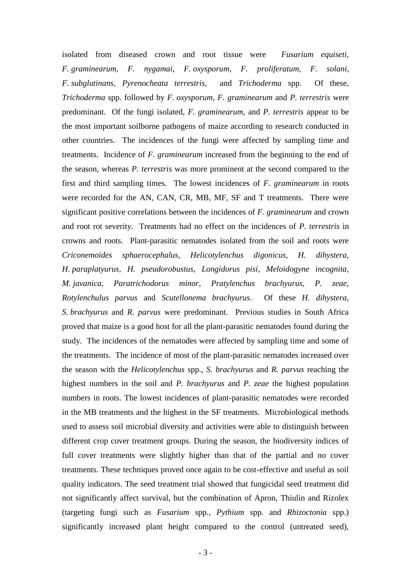isolated from diseased crown and root tissue were *Fusarium equiseti*, *F. graminearum*, *F. nygamai*, *F. oxysporum*, *F. proliferatum, F. solani*, *F. subglutinans*, *Pyrenocheata terrestris*, and *Trichoderma* spp. Of these, *Trichoderma* spp. followed by *F. oxysporum*, *F. graminearum* and *P. terrestris* were predominant. Of the fungi isolated, *F. graminearum*, and *P. terrestris* appear to be the most important soilborne pathogens of maize according to research conducted in other countries. The incidences of the fungi were affected by sampling time and treatments. Incidence of *F. graminearum* increased from the beginning to the end of the season, whereas *P. terrestris* was more prominent at the second compared to the first and third sampling times. The lowest incidences of *F. graminearum* in roots were recorded for the AN, CAN, CR, MB, MF, SF and T treatments. There were significant positive correlations between the incidences of *F. graminearum* and crown and root rot severity. Treatments had no effect on the incidences of *P. terrestris* in crowns and roots. Plant-parasitic nematodes isolated from the soil and roots were *Criconemoides sphaerocephalus*, *Helicotylenchus digonicus, H. dihystera, H. paraplatyurus, H. pseudorobustus, Longidorus pisi, Meloidogyne incognita, M. javanica, Paratrichodorus minor*, *Pratylenchus brachyurus, P. zeae*, *Rotylenchulus parvus* and *Scutellonema brachyurus*. Of these *H. dihystera, S. brachyurus* and *R. parvus* were predominant. Previous studies in South Africa proved that maize is a good host for all the plant-parasitic nematodes found during the study. The incidences of the nematodes were affected by sampling time and some of the treatments. The incidence of most of the plant-parasitic nematodes increased over the season with the *Helicotylenchus* spp., *S. brachyurus* and *R. parvus* reaching the highest numbers in the soil and *P. brachyurus* and *P. zeae* the highest population numbers in roots. The lowest incidences of plant-parasitic nematodes were recorded in the MB treatments and the highest in the SF treatments. Microbiological methods used to assess soil microbial diversity and activities were able to distinguish between different crop cover treatment groups. During the season, the biodiversity indices of full cover treatments were slightly higher than that of the partial and no cover treatments. These techniques proved once again to be cost-effective and useful as soil quality indicators. The seed treatment trial showed that fungicidal seed treatment did not significantly affect survival, but the combination of Apron, Thiulin and Rizolex (targeting fungi such as *Fusarium* spp*., Pythium* spp. and *Rhizoctonia* spp.) significantly increased plant height compared to the control (untreated seed),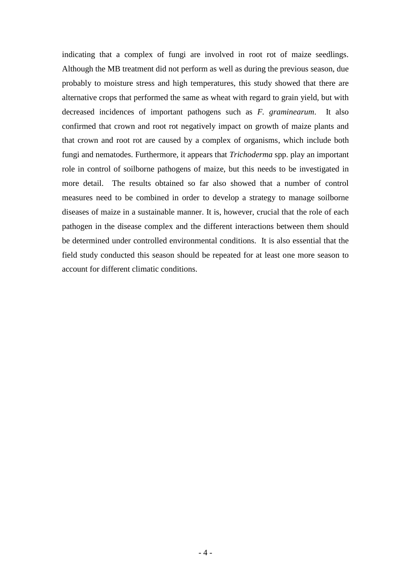indicating that a complex of fungi are involved in root rot of maize seedlings. Although the MB treatment did not perform as well as during the previous season, due probably to moisture stress and high temperatures, this study showed that there are alternative crops that performed the same as wheat with regard to grain yield, but with decreased incidences of important pathogens such as *F. graminearum*. It also confirmed that crown and root rot negatively impact on growth of maize plants and that crown and root rot are caused by a complex of organisms, which include both fungi and nematodes. Furthermore, it appears that *Trichoderma* spp. play an important role in control of soilborne pathogens of maize, but this needs to be investigated in more detail. The results obtained so far also showed that a number of control measures need to be combined in order to develop a strategy to manage soilborne diseases of maize in a sustainable manner. It is, however, crucial that the role of each pathogen in the disease complex and the different interactions between them should be determined under controlled environmental conditions. It is also essential that the field study conducted this season should be repeated for at least one more season to account for different climatic conditions.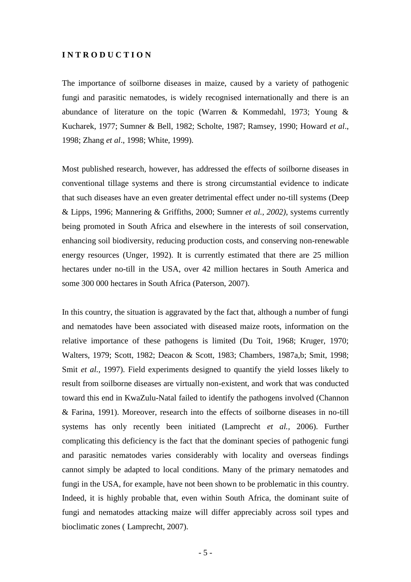### **I N T R O D U C T I O N**

The importance of soilborne diseases in maize, caused by a variety of pathogenic fungi and parasitic nematodes, is widely recognised internationally and there is an abundance of literature on the topic (Warren & Kommedahl, 1973; Young & Kucharek, 1977; Sumner & Bell, 1982; Scholte, 1987; Ramsey, 1990; Howard *et al*., 1998; Zhang *et al*., 1998; White, 1999).

Most published research, however, has addressed the effects of soilborne diseases in conventional tillage systems and there is strong circumstantial evidence to indicate that such diseases have an even greater detrimental effect under no-till systems (Deep & Lipps, 1996; Mannering & Griffiths, 2000; Sumner *et al., 2002)*, systems currently being promoted in South Africa and elsewhere in the interests of soil conservation, enhancing soil biodiversity, reducing production costs, and conserving non-renewable energy resources (Unger, 1992). It is currently estimated that there are 25 million hectares under no-till in the USA, over 42 million hectares in South America and some 300 000 hectares in South Africa (Paterson, 2007).

In this country, the situation is aggravated by the fact that, although a number of fungi and nematodes have been associated with diseased maize roots, information on the relative importance of these pathogens is limited (Du Toit, 1968; Kruger, 1970; Walters, 1979; Scott, 1982; Deacon & Scott, 1983; Chambers, 1987a,b; Smit, 1998; Smit *et al.,* 1997). Field experiments designed to quantify the yield losses likely to result from soilborne diseases are virtually non-existent, and work that was conducted toward this end in KwaZulu-Natal failed to identify the pathogens involved (Channon & Farina, 1991). Moreover, research into the effects of soilborne diseases in no-till systems has only recently been initiated (Lamprecht *et al.,* 2006). Further complicating this deficiency is the fact that the dominant species of pathogenic fungi and parasitic nematodes varies considerably with locality and overseas findings cannot simply be adapted to local conditions. Many of the primary nematodes and fungi in the USA, for example, have not been shown to be problematic in this country. Indeed, it is highly probable that, even within South Africa, the dominant suite of fungi and nematodes attacking maize will differ appreciably across soil types and bioclimatic zones ( Lamprecht, 2007).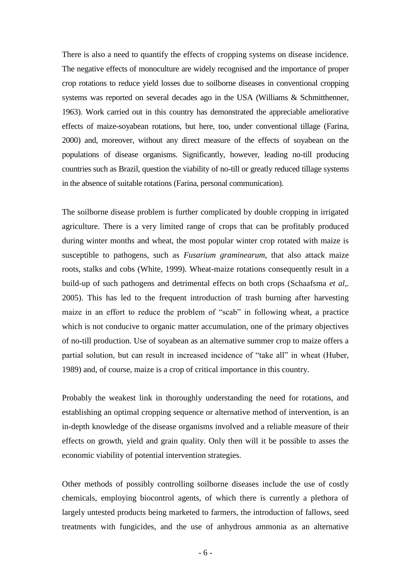There is also a need to quantify the effects of cropping systems on disease incidence. The negative effects of monoculture are widely recognised and the importance of proper crop rotations to reduce yield losses due to soilborne diseases in conventional cropping systems was reported on several decades ago in the USA (Williams & Schmitthenner, 1963). Work carried out in this country has demonstrated the appreciable ameliorative effects of maize-soyabean rotations, but here, too, under conventional tillage (Farina, 2000) and, moreover, without any direct measure of the effects of soyabean on the populations of disease organisms. Significantly, however, leading no-till producing countries such as Brazil, question the viability of no-till or greatly reduced tillage systems in the absence of suitable rotations (Farina, personal communication).

The soilborne disease problem is further complicated by double cropping in irrigated agriculture. There is a very limited range of crops that can be profitably produced during winter months and wheat, the most popular winter crop rotated with maize is susceptible to pathogens, such as *Fusarium graminearum*, that also attack maize roots, stalks and cobs (White, 1999). Wheat-maize rotations consequently result in a build-up of such pathogens and detrimental effects on both crops (Schaafsma *et al*,. 2005). This has led to the frequent introduction of trash burning after harvesting maize in an effort to reduce the problem of "scab" in following wheat, a practice which is not conducive to organic matter accumulation, one of the primary objectives of no-till production. Use of soyabean as an alternative summer crop to maize offers a partial solution, but can result in increased incidence of "take all" in wheat (Huber, 1989) and, of course, maize is a crop of critical importance in this country.

Probably the weakest link in thoroughly understanding the need for rotations, and establishing an optimal cropping sequence or alternative method of intervention, is an in-depth knowledge of the disease organisms involved and a reliable measure of their effects on growth, yield and grain quality. Only then will it be possible to asses the economic viability of potential intervention strategies.

Other methods of possibly controlling soilborne diseases include the use of costly chemicals, employing biocontrol agents, of which there is currently a plethora of largely untested products being marketed to farmers, the introduction of fallows, seed treatments with fungicides, and the use of anhydrous ammonia as an alternative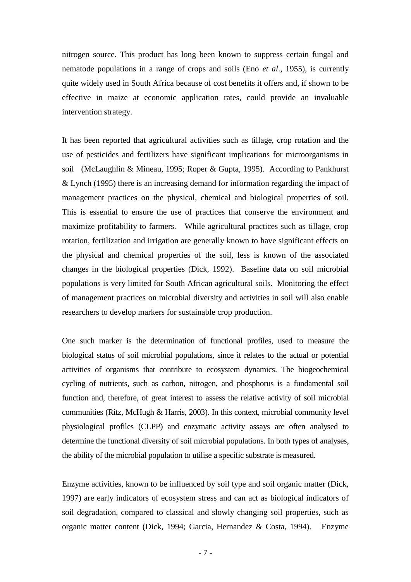nitrogen source. This product has long been known to suppress certain fungal and nematode populations in a range of crops and soils (Eno *et al*., 1955), is currently quite widely used in South Africa because of cost benefits it offers and, if shown to be effective in maize at economic application rates, could provide an invaluable intervention strategy.

It has been reported that agricultural activities such as tillage, crop rotation and the use of pesticides and fertilizers have significant implications for microorganisms in soil (McLaughlin & Mineau, 1995; Roper & Gupta, 1995). According to Pankhurst & Lynch (1995) there is an increasing demand for information regarding the impact of management practices on the physical, chemical and biological properties of soil. This is essential to ensure the use of practices that conserve the environment and maximize profitability to farmers. While agricultural practices such as tillage, crop rotation, fertilization and irrigation are generally known to have significant effects on the physical and chemical properties of the soil, less is known of the associated changes in the biological properties (Dick, 1992). Baseline data on soil microbial populations is very limited for South African agricultural soils. Monitoring the effect of management practices on microbial diversity and activities in soil will also enable researchers to develop markers for sustainable crop production.

One such marker is the determination of functional profiles, used to measure the biological status of soil microbial populations, since it relates to the actual or potential activities of organisms that contribute to ecosystem dynamics. The biogeochemical cycling of nutrients, such as carbon, nitrogen, and phosphorus is a fundamental soil function and, therefore, of great interest to assess the relative activity of soil microbial communities (Ritz, McHugh & Harris, 2003). In this context, microbial community level physiological profiles (CLPP) and enzymatic activity assays are often analysed to determine the functional diversity of soil microbial populations. In both types of analyses, the ability of the microbial population to utilise a specific substrate is measured.

Enzyme activities, known to be influenced by soil type and soil organic matter (Dick, 1997) are early indicators of ecosystem stress and can act as biological indicators of soil degradation, compared to classical and slowly changing soil properties, such as organic matter content (Dick, 1994; Garcia, Hernandez & Costa, 1994). Enzyme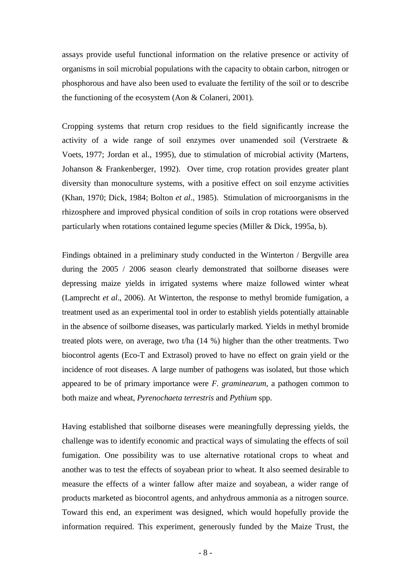assays provide useful functional information on the relative presence or activity of organisms in soil microbial populations with the capacity to obtain carbon, nitrogen or phosphorous and have also been used to evaluate the fertility of the soil or to describe the functioning of the ecosystem (Aon & Colaneri, 2001).

Cropping systems that return crop residues to the field significantly increase the activity of a wide range of soil enzymes over unamended soil (Verstraete & Voets, 1977; Jordan et al., 1995), due to stimulation of microbial activity (Martens, Johanson & Frankenberger, 1992). Over time, crop rotation provides greater plant diversity than monoculture systems, with a positive effect on soil enzyme activities (Khan, 1970; Dick, 1984; Bolton *et al*., 1985). Stimulation of microorganisms in the rhizosphere and improved physical condition of soils in crop rotations were observed particularly when rotations contained legume species (Miller & Dick, 1995a, b).

Findings obtained in a preliminary study conducted in the Winterton / Bergville area during the 2005 / 2006 season clearly demonstrated that soilborne diseases were depressing maize yields in irrigated systems where maize followed winter wheat (Lamprecht *et al*., 2006). At Winterton, the response to methyl bromide fumigation, a treatment used as an experimental tool in order to establish yields potentially attainable in the absence of soilborne diseases, was particularly marked. Yields in methyl bromide treated plots were, on average, two t/ha (14 %) higher than the other treatments. Two biocontrol agents (Eco-T and Extrasol) proved to have no effect on grain yield or the incidence of root diseases. A large number of pathogens was isolated, but those which appeared to be of primary importance were *F. graminearum,* a pathogen common to both maize and wheat, *Pyrenochaeta terrestris* and *Pythium* spp.

Having established that soilborne diseases were meaningfully depressing yields, the challenge was to identify economic and practical ways of simulating the effects of soil fumigation. One possibility was to use alternative rotational crops to wheat and another was to test the effects of soyabean prior to wheat. It also seemed desirable to measure the effects of a winter fallow after maize and soyabean, a wider range of products marketed as biocontrol agents, and anhydrous ammonia as a nitrogen source. Toward this end, an experiment was designed, which would hopefully provide the information required. This experiment, generously funded by the Maize Trust, the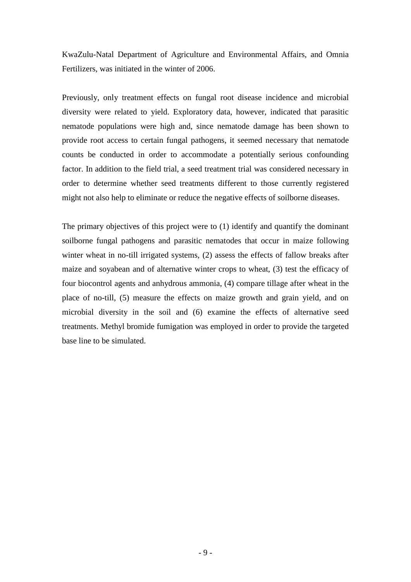KwaZulu-Natal Department of Agriculture and Environmental Affairs, and Omnia Fertilizers, was initiated in the winter of 2006.

Previously, only treatment effects on fungal root disease incidence and microbial diversity were related to yield. Exploratory data, however, indicated that parasitic nematode populations were high and, since nematode damage has been shown to provide root access to certain fungal pathogens, it seemed necessary that nematode counts be conducted in order to accommodate a potentially serious confounding factor. In addition to the field trial, a seed treatment trial was considered necessary in order to determine whether seed treatments different to those currently registered might not also help to eliminate or reduce the negative effects of soilborne diseases.

The primary objectives of this project were to (1) identify and quantify the dominant soilborne fungal pathogens and parasitic nematodes that occur in maize following winter wheat in no-till irrigated systems, (2) assess the effects of fallow breaks after maize and soyabean and of alternative winter crops to wheat, (3) test the efficacy of four biocontrol agents and anhydrous ammonia, (4) compare tillage after wheat in the place of no-till, (5) measure the effects on maize growth and grain yield, and on microbial diversity in the soil and (6) examine the effects of alternative seed treatments. Methyl bromide fumigation was employed in order to provide the targeted base line to be simulated.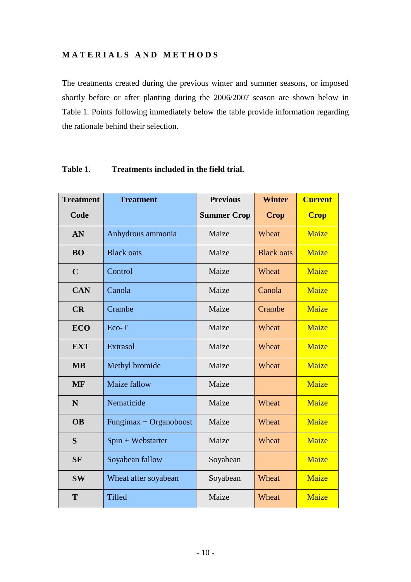# **M A T E R I A L S A N D M E T H O D S**

The treatments created during the previous winter and summer seasons, or imposed shortly before or after planting during the 2006/2007 season are shown below in Table 1. Points following immediately below the table provide information regarding the rationale behind their selection.

| <b>Treatment</b> | <b>Treatment</b>       | <b>Previous</b>    | <b>Winter</b>     | <b>Current</b> |  |
|------------------|------------------------|--------------------|-------------------|----------------|--|
| Code             |                        | <b>Summer Crop</b> | <b>Crop</b>       | <b>Crop</b>    |  |
| AN               | Anhydrous ammonia      | Maize              | Wheat             | <b>Maize</b>   |  |
| <b>BO</b>        | <b>Black oats</b>      | Maize              | <b>Black oats</b> | <b>Maize</b>   |  |
| $\mathbf C$      | Control                | Maize              | Wheat             | Maize          |  |
| <b>CAN</b>       | Canola                 | Maize              | Canola            | <b>Maize</b>   |  |
| CR               | Crambe                 | Maize              | Crambe            | Maize          |  |
| <b>ECO</b>       | Eco-T                  | Maize              | Wheat             | <b>Maize</b>   |  |
| <b>EXT</b>       | <b>Extrasol</b>        | Maize              | Wheat             | Maize          |  |
| <b>MB</b>        | Methyl bromide         | Maize              | Wheat             | <b>Maize</b>   |  |
| <b>MF</b>        | Maize fallow           | Maize              |                   | <b>Maize</b>   |  |
| N                | Nematicide             | Maize              | Wheat             | <b>Maize</b>   |  |
| <b>OB</b>        | Fungimax + Organoboost | Maize              | Wheat             | <b>Maize</b>   |  |
| S                | $Spin + Webstarter$    | Maize              | Wheat             | Maize          |  |
| <b>SF</b>        | Soyabean fallow        | Soyabean           |                   | <b>Maize</b>   |  |
| <b>SW</b>        | Wheat after soyabean   | Soyabean           | Wheat             | Maize          |  |
| T                | <b>Tilled</b>          | Maize              | Wheat             | Maize          |  |

## **Table 1. Treatments included in the field trial.**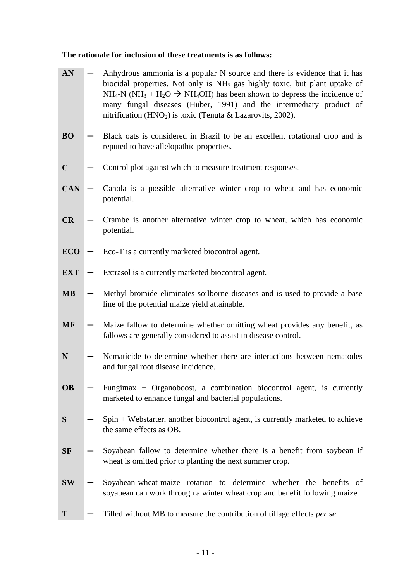# **The rationale for inclusion of these treatments is as follows:**

| AN          | Anhydrous ammonia is a popular N source and there is evidence that it has<br>biocidal properties. Not only is NH <sub>3</sub> gas highly toxic, but plant uptake of<br>$NH_4$ -N (NH <sub>3</sub> + H <sub>2</sub> O $\rightarrow$ NH <sub>4</sub> OH) has been shown to depress the incidence of<br>many fungal diseases (Huber, 1991) and the intermediary product of<br>nitrification ( $HNO2$ ) is toxic (Tenuta & Lazarovits, 2002). |
|-------------|-------------------------------------------------------------------------------------------------------------------------------------------------------------------------------------------------------------------------------------------------------------------------------------------------------------------------------------------------------------------------------------------------------------------------------------------|
| <b>BO</b>   | Black oats is considered in Brazil to be an excellent rotational crop and is<br>reputed to have allelopathic properties.                                                                                                                                                                                                                                                                                                                  |
| $\mathbf C$ | Control plot against which to measure treatment responses.                                                                                                                                                                                                                                                                                                                                                                                |
| <b>CAN</b>  | Canola is a possible alternative winter crop to wheat and has economic<br>potential.                                                                                                                                                                                                                                                                                                                                                      |
| CR          | Crambe is another alternative winter crop to wheat, which has economic<br>potential.                                                                                                                                                                                                                                                                                                                                                      |
| <b>ECO</b>  | Eco-T is a currently marketed biocontrol agent.                                                                                                                                                                                                                                                                                                                                                                                           |
| <b>EXT</b>  | Extrasol is a currently marketed biocontrol agent.                                                                                                                                                                                                                                                                                                                                                                                        |
| <b>MB</b>   | Methyl bromide eliminates soilborne diseases and is used to provide a base<br>line of the potential maize yield attainable.                                                                                                                                                                                                                                                                                                               |
| <b>MF</b>   | Maize fallow to determine whether omitting wheat provides any benefit, as<br>fallows are generally considered to assist in disease control.                                                                                                                                                                                                                                                                                               |
| N           | Nematicide to determine whether there are interactions between nematodes<br>and fungal root disease incidence.                                                                                                                                                                                                                                                                                                                            |
| <b>OB</b>   | Fungimax + Organoboost, a combination biocontrol agent, is currently<br>marketed to enhance fungal and bacterial populations.                                                                                                                                                                                                                                                                                                             |
| S           | Spin + Webstarter, another biocontrol agent, is currently marketed to achieve<br>the same effects as OB.                                                                                                                                                                                                                                                                                                                                  |
| <b>SF</b>   | Soyabean fallow to determine whether there is a benefit from soybean if<br>wheat is omitted prior to planting the next summer crop.                                                                                                                                                                                                                                                                                                       |
| <b>SW</b>   | Soyabean-wheat-maize rotation to determine whether the benefits of<br>soyabean can work through a winter wheat crop and benefit following maize.                                                                                                                                                                                                                                                                                          |
| T           | Tilled without MB to measure the contribution of tillage effects per se.                                                                                                                                                                                                                                                                                                                                                                  |
|             |                                                                                                                                                                                                                                                                                                                                                                                                                                           |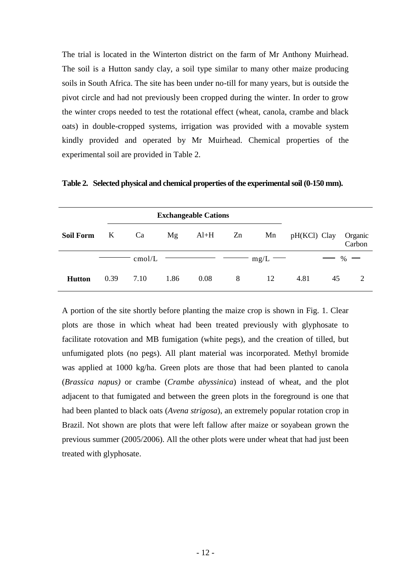The trial is located in the Winterton district on the farm of Mr Anthony Muirhead. The soil is a Hutton sandy clay, a soil type similar to many other maize producing soils in South Africa. The site has been under no-till for many years, but is outside the pivot circle and had not previously been cropped during the winter. In order to grow the winter crops needed to test the rotational effect (wheat, canola, crambe and black oats) in double-cropped systems, irrigation was provided with a movable system kindly provided and operated by Mr Muirhead. Chemical properties of the experimental soil are provided in Table 2.

|                  |          | <b>Exchangeable Cations</b> |      |        |    |              |                |    |                   |
|------------------|----------|-----------------------------|------|--------|----|--------------|----------------|----|-------------------|
| <b>Soil Form</b> | $\bf{K}$ | Ca                          | Mg   | $Al+H$ | Zn | Mn           | $pH(KCl)$ Clay |    | Organic<br>Carbon |
|                  |          | cmol/L                      |      |        |    | $-$ mg/L $-$ |                |    | $-$ % $-$         |
| <b>Hutton</b>    | 0.39     | 7.10                        | 1.86 | 0.08   | 8  | 12           | 4.81           | 45 | 2                 |

**Table 2. Selected physical and chemical properties of the experimental soil (0-150 mm).**

A portion of the site shortly before planting the maize crop is shown in Fig. 1. Clear plots are those in which wheat had been treated previously with glyphosate to facilitate rotovation and MB fumigation (white pegs), and the creation of tilled, but unfumigated plots (no pegs). All plant material was incorporated. Methyl bromide was applied at 1000 kg/ha. Green plots are those that had been planted to canola (*Brassica napus)* or crambe (*Crambe abyssinica*) instead of wheat, and the plot adjacent to that fumigated and between the green plots in the foreground is one that had been planted to black oats (*Avena strigosa*), an extremely popular rotation crop in Brazil. Not shown are plots that were left fallow after maize or soyabean grown the previous summer (2005/2006). All the other plots were under wheat that had just been treated with glyphosate.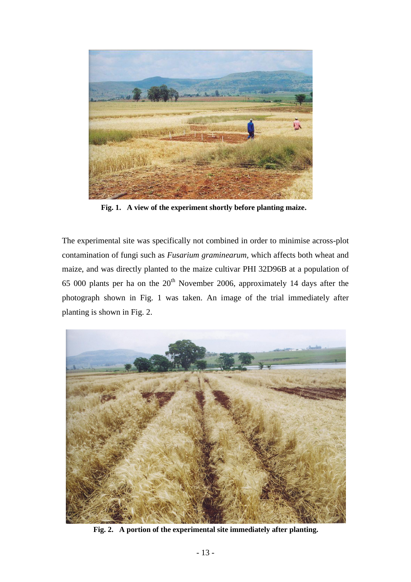

**Fig. 1. A view of the experiment shortly before planting maize.**

The experimental site was specifically not combined in order to minimise across-plot contamination of fungi such as *Fusarium graminearum,* which affects both wheat and maize, and was directly planted to the maize cultivar PHI 32D96B at a population of 65 000 plants per ha on the  $20<sup>th</sup>$  November 2006, approximately 14 days after the photograph shown in Fig. 1 was taken. An image of the trial immediately after planting is shown in Fig. 2.



**Fig. 2. A portion of the experimental site immediately after planting.**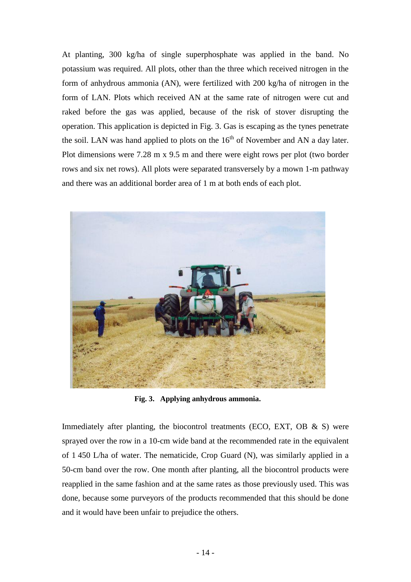At planting, 300 kg/ha of single superphosphate was applied in the band. No potassium was required. All plots, other than the three which received nitrogen in the form of anhydrous ammonia (AN), were fertilized with 200 kg/ha of nitrogen in the form of LAN. Plots which received AN at the same rate of nitrogen were cut and raked before the gas was applied, because of the risk of stover disrupting the operation. This application is depicted in Fig. 3. Gas is escaping as the tynes penetrate the soil. LAN was hand applied to plots on the  $16<sup>th</sup>$  of November and AN a day later. Plot dimensions were 7.28 m x 9.5 m and there were eight rows per plot (two border rows and six net rows). All plots were separated transversely by a mown 1-m pathway and there was an additional border area of 1 m at both ends of each plot.



**Fig. 3. Applying anhydrous ammonia.**

Immediately after planting, the biocontrol treatments (ECO, EXT, OB  $\&$  S) were sprayed over the row in a 10-cm wide band at the recommended rate in the equivalent of 1 450 L/ha of water. The nematicide, Crop Guard (N), was similarly applied in a 50-cm band over the row. One month after planting, all the biocontrol products were reapplied in the same fashion and at the same rates as those previously used. This was done, because some purveyors of the products recommended that this should be done and it would have been unfair to prejudice the others.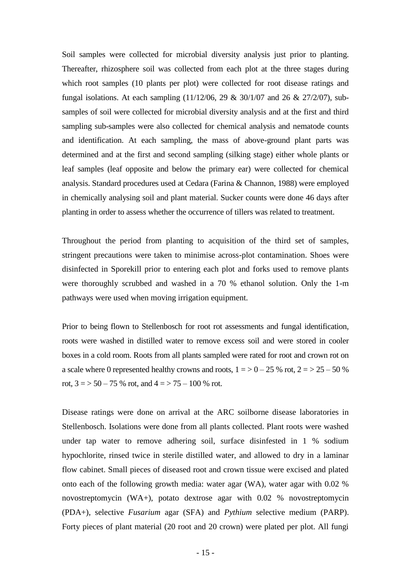Soil samples were collected for microbial diversity analysis just prior to planting. Thereafter, rhizosphere soil was collected from each plot at the three stages during which root samples (10 plants per plot) were collected for root disease ratings and fungal isolations. At each sampling (11/12/06, 29 & 30/1/07 and 26 & 27/2/07), subsamples of soil were collected for microbial diversity analysis and at the first and third sampling sub-samples were also collected for chemical analysis and nematode counts and identification. At each sampling, the mass of above-ground plant parts was determined and at the first and second sampling (silking stage) either whole plants or leaf samples (leaf opposite and below the primary ear) were collected for chemical analysis. Standard procedures used at Cedara (Farina & Channon, 1988) were employed in chemically analysing soil and plant material. Sucker counts were done 46 days after planting in order to assess whether the occurrence of tillers was related to treatment.

Throughout the period from planting to acquisition of the third set of samples, stringent precautions were taken to minimise across-plot contamination. Shoes were disinfected in Sporekill prior to entering each plot and forks used to remove plants were thoroughly scrubbed and washed in a 70 % ethanol solution. Only the 1-m pathways were used when moving irrigation equipment.

Prior to being flown to Stellenbosch for root rot assessments and fungal identification, roots were washed in distilled water to remove excess soil and were stored in cooler boxes in a cold room. Roots from all plants sampled were rated for root and crown rot on a scale where 0 represented healthy crowns and roots,  $1 = 50 - 25$  % rot,  $2 = 50 - 50$  % rot,  $3 = 50 - 75$  % rot, and  $4 = 75 - 100$  % rot.

Disease ratings were done on arrival at the ARC soilborne disease laboratories in Stellenbosch. Isolations were done from all plants collected. Plant roots were washed under tap water to remove adhering soil, surface disinfested in 1 % sodium hypochlorite, rinsed twice in sterile distilled water, and allowed to dry in a laminar flow cabinet. Small pieces of diseased root and crown tissue were excised and plated onto each of the following growth media: water agar (WA), water agar with 0.02 % novostreptomycin (WA+), potato dextrose agar with 0.02 % novostreptomycin (PDA+), selective *Fusarium* agar (SFA) and *Pythium* selective medium (PARP). Forty pieces of plant material (20 root and 20 crown) were plated per plot. All fungi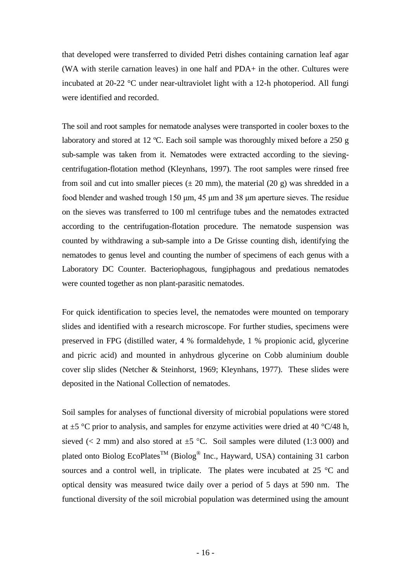that developed were transferred to divided Petri dishes containing carnation leaf agar (WA with sterile carnation leaves) in one half and PDA+ in the other. Cultures were incubated at 20-22 °C under near-ultraviolet light with a 12-h photoperiod. All fungi were identified and recorded.

The soil and root samples for nematode analyses were transported in cooler boxes to the laboratory and stored at 12 ºC. Each soil sample was thoroughly mixed before a 250 g sub-sample was taken from it. Nematodes were extracted according to the sievingcentrifugation-flotation method (Kleynhans, 1997). The root samples were rinsed free from soil and cut into smaller pieces  $(\pm 20 \text{ mm})$ , the material  $(20 \text{ g})$  was shredded in a food blender and washed trough 150 μm, 45 μm and 38 μm aperture sieves. The residue on the sieves was transferred to 100 ml centrifuge tubes and the nematodes extracted according to the centrifugation-flotation procedure. The nematode suspension was counted by withdrawing a sub-sample into a De Grisse counting dish, identifying the nematodes to genus level and counting the number of specimens of each genus with a Laboratory DC Counter. Bacteriophagous, fungiphagous and predatious nematodes were counted together as non plant-parasitic nematodes.

For quick identification to species level, the nematodes were mounted on temporary slides and identified with a research microscope. For further studies, specimens were preserved in FPG (distilled water, 4 % formaldehyde, 1 % propionic acid, glycerine and picric acid) and mounted in anhydrous glycerine on Cobb aluminium double cover slip slides (Netcher & Steinhorst, 1969; Kleynhans, 1977). These slides were deposited in the National Collection of nematodes.

Soil samples for analyses of functional diversity of microbial populations were stored at  $\pm$ 5 °C prior to analysis, and samples for enzyme activities were dried at 40 °C/48 h, sieved ( $\lt 2$  mm) and also stored at  $\pm 5$  °C. Soil samples were diluted (1:3 000) and plated onto Biolog EcoPlates<sup>TM</sup> (Biolog<sup>®</sup> Inc., Hayward, USA) containing 31 carbon sources and a control well, in triplicate. The plates were incubated at 25 °C and optical density was measured twice daily over a period of 5 days at 590 nm. The functional diversity of the soil microbial population was determined using the amount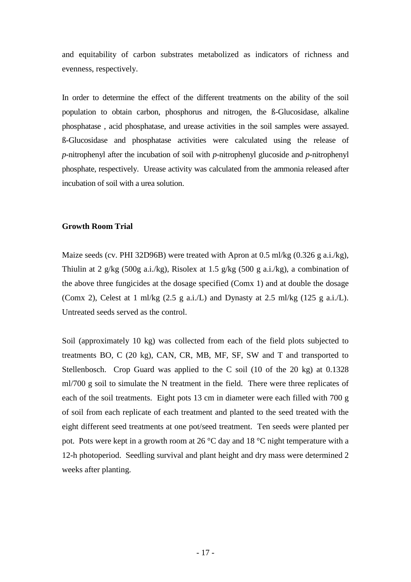and equitability of carbon substrates metabolized as indicators of richness and evenness, respectively.

In order to determine the effect of the different treatments on the ability of the soil population to obtain carbon, phosphorus and nitrogen, the ß-Glucosidase, alkaline phosphatase , acid phosphatase, and urease activities in the soil samples were assayed. ß-Glucosidase and phosphatase activities were calculated using the release of *p*-nitrophenyl after the incubation of soil with *p*-nitrophenyl glucoside and *p*-nitrophenyl phosphate, respectively. Urease activity was calculated from the ammonia released after incubation of soil with a urea solution.

### **Growth Room Trial**

Maize seeds (cv. PHI 32D96B) were treated with Apron at 0.5 ml/kg (0.326 g a.i./kg), Thiulin at 2 g/kg (500g a.i./kg), Risolex at 1.5 g/kg (500 g a.i./kg), a combination of the above three fungicides at the dosage specified (Comx 1) and at double the dosage (Comx 2), Celest at 1 ml/kg (2.5 g a.i./L) and Dynasty at 2.5 ml/kg (125 g a.i./L). Untreated seeds served as the control.

Soil (approximately 10 kg) was collected from each of the field plots subjected to treatments BO, C (20 kg), CAN, CR, MB, MF, SF, SW and T and transported to Stellenbosch. Crop Guard was applied to the C soil (10 of the 20 kg) at 0.1328 ml/700 g soil to simulate the N treatment in the field. There were three replicates of each of the soil treatments. Eight pots 13 cm in diameter were each filled with 700 g of soil from each replicate of each treatment and planted to the seed treated with the eight different seed treatments at one pot/seed treatment. Ten seeds were planted per pot. Pots were kept in a growth room at 26 °C day and 18 °C night temperature with a 12-h photoperiod. Seedling survival and plant height and dry mass were determined 2 weeks after planting.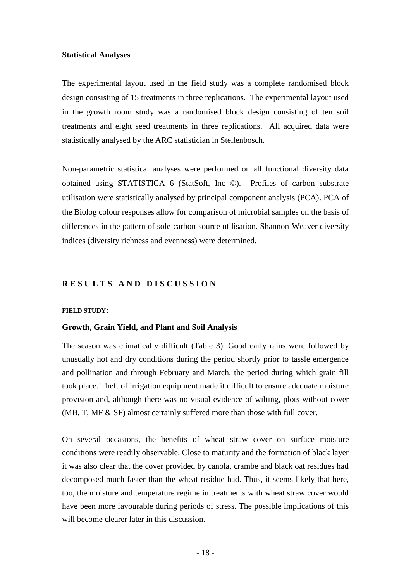### **Statistical Analyses**

The experimental layout used in the field study was a complete randomised block design consisting of 15 treatments in three replications. The experimental layout used in the growth room study was a randomised block design consisting of ten soil treatments and eight seed treatments in three replications. All acquired data were statistically analysed by the ARC statistician in Stellenbosch.

Non-parametric statistical analyses were performed on all functional diversity data obtained using STATISTICA 6 (StatSoft, Inc ©). Profiles of carbon substrate utilisation were statistically analysed by principal component analysis (PCA). PCA of the Biolog colour responses allow for comparison of microbial samples on the basis of differences in the pattern of sole-carbon-source utilisation. Shannon-Weaver diversity indices (diversity richness and evenness) were determined.

## **R E S U L T S A N D D I S C U S S I O N**

#### **FIELD STUDY:**

#### **Growth, Grain Yield, and Plant and Soil Analysis**

The season was climatically difficult (Table 3). Good early rains were followed by unusually hot and dry conditions during the period shortly prior to tassle emergence and pollination and through February and March, the period during which grain fill took place. Theft of irrigation equipment made it difficult to ensure adequate moisture provision and, although there was no visual evidence of wilting, plots without cover (MB, T, MF & SF) almost certainly suffered more than those with full cover.

On several occasions, the benefits of wheat straw cover on surface moisture conditions were readily observable. Close to maturity and the formation of black layer it was also clear that the cover provided by canola, crambe and black oat residues had decomposed much faster than the wheat residue had. Thus, it seems likely that here, too, the moisture and temperature regime in treatments with wheat straw cover would have been more favourable during periods of stress. The possible implications of this will become clearer later in this discussion.